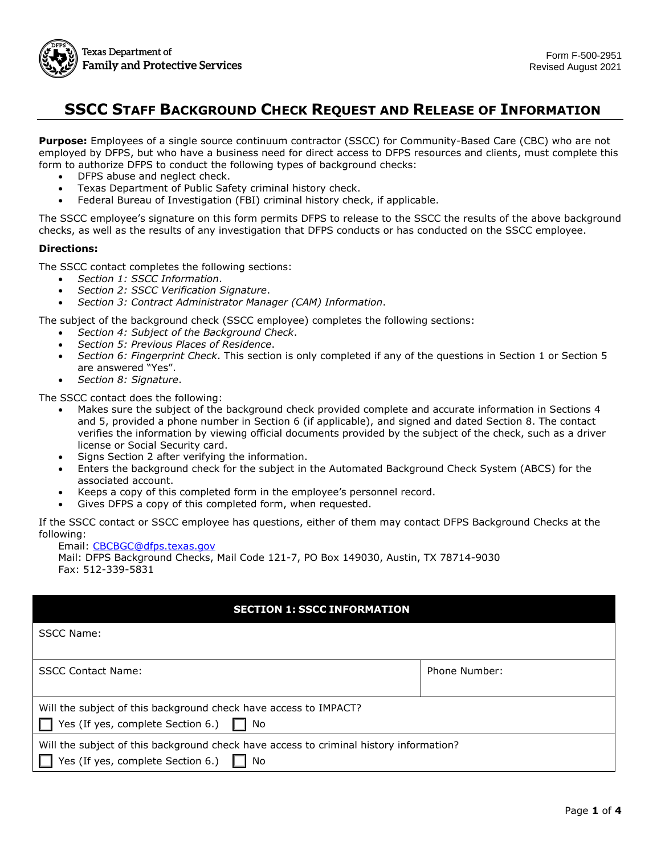

# **SSCC STAFF BACKGROUND CHECK REQUEST AND RELEASE OF INFORMATION**

**Purpose:** Employees of a single source continuum contractor (SSCC) for Community-Based Care (CBC) who are not employed by DFPS, but who have a business need for direct access to DFPS resources and clients, must complete this form to authorize DFPS to conduct the following types of background checks:

- DFPS abuse and neglect check.
- Texas Department of Public Safety criminal history check.
- Federal Bureau of Investigation (FBI) criminal history check, if applicable.

The SSCC employee's signature on this form permits DFPS to release to the SSCC the results of the above background checks, as well as the results of any investigation that DFPS conducts or has conducted on the SSCC employee.

#### **Directions:**

CCCC Namo:

The SSCC contact completes the following sections:

- *Section 1: SSCC Information*.
- *Section 2: SSCC Verification Signature*.
- *Section 3: Contract Administrator Manager (CAM) Information*.

The subject of the background check (SSCC employee) completes the following sections:

- *Section 4: Subject of the Background Check*.
- *Section 5: Previous Places of Residence*.
- *Section 6: Fingerprint Check*. This section is only completed if any of the questions in Section 1 or Section 5 are answered "Yes".
- *Section 8: Signature*.

The SSCC contact does the following:

- Makes sure the subject of the background check provided complete and accurate information in Sections 4 and 5, provided a phone number in Section 6 (if applicable), and signed and dated Section 8. The contact verifies the information by viewing official documents provided by the subject of the check, such as a driver license or Social Security card.
- Signs Section 2 after verifying the information.
- Enters the background check for the subject in the Automated Background Check System (ABCS) for the associated account.
- Keeps a copy of this completed form in the employee's personnel record.
- Gives DFPS a copy of this completed form, when requested.

If the SSCC contact or SSCC employee has questions, either of them may contact DFPS Background Checks at the following:

Email: [CBCBGC@dfps.texas.gov](mailto:CBCBGC@dfps.texas.gov)

Mail: DFPS Background Checks, Mail Code 121-7, PO Box 149030, Austin, TX 78714-9030 Fax: 512-339-5831

#### **SECTION 1: SSCC INFORMATION**

| JJUL INGHILI                                                                           |               |  |
|----------------------------------------------------------------------------------------|---------------|--|
| <b>SSCC Contact Name:</b>                                                              | Phone Number: |  |
|                                                                                        |               |  |
| Will the subject of this background check have access to IMPACT?                       |               |  |
| Yes (If yes, complete Section 6.) $\Box$ No<br>H                                       |               |  |
| Will the subject of this background check have access to criminal history information? |               |  |
| $\Box$ Yes (If yes, complete Section 6.) $\Box$ No                                     |               |  |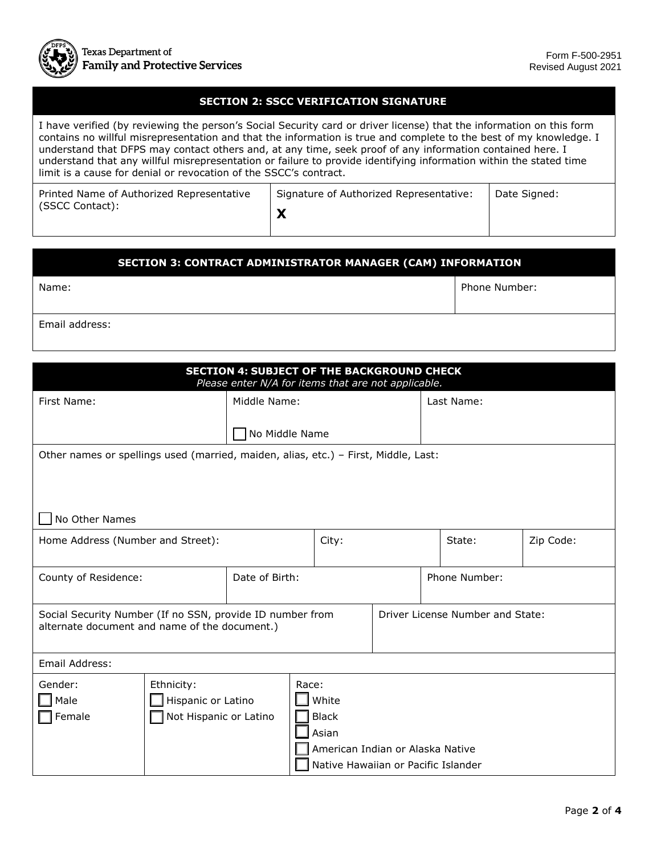### **SECTION 2: SSCC VERIFICATION SIGNATURE**

I have verified (by reviewing the person's Social Security card or driver license) that the information on this form contains no willful misrepresentation and that the information is true and complete to the best of my knowledge. I understand that DFPS may contact others and, at any time, seek proof of any information contained here. I understand that any willful misrepresentation or failure to provide identifying information within the stated time limit is a cause for denial or revocation of the SSCC's contract.

Printed Name of Authorized Representative (SSCC Contact):

**X** Signature of Authorized Representative: | Date Signed:

| <b>SECTION 3: CONTRACT ADMINISTRATOR MANAGER (CAM) INFORMATION</b> |               |  |
|--------------------------------------------------------------------|---------------|--|
| Name:                                                              | Phone Number: |  |
| Email address:                                                     |               |  |

| <b>SECTION 4: SUBJECT OF THE BACKGROUND CHECK</b><br>Please enter N/A for items that are not applicable.   |                        |                                                                         |  |  |               |        |           |
|------------------------------------------------------------------------------------------------------------|------------------------|-------------------------------------------------------------------------|--|--|---------------|--------|-----------|
| First Name:                                                                                                |                        | Middle Name:                                                            |  |  | Last Name:    |        |           |
|                                                                                                            |                        | No Middle Name                                                          |  |  |               |        |           |
| Other names or spellings used (married, maiden, alias, etc.) - First, Middle, Last:                        |                        |                                                                         |  |  |               |        |           |
|                                                                                                            |                        |                                                                         |  |  |               |        |           |
|                                                                                                            |                        |                                                                         |  |  |               |        |           |
| No Other Names                                                                                             |                        |                                                                         |  |  |               |        |           |
| Home Address (Number and Street):                                                                          |                        | City:                                                                   |  |  |               | State: | Zip Code: |
|                                                                                                            |                        |                                                                         |  |  |               |        |           |
| County of Residence:                                                                                       |                        | Date of Birth:                                                          |  |  | Phone Number: |        |           |
|                                                                                                            |                        |                                                                         |  |  |               |        |           |
| Social Security Number (If no SSN, provide ID number from<br>alternate document and name of the document.) |                        | Driver License Number and State:                                        |  |  |               |        |           |
|                                                                                                            |                        |                                                                         |  |  |               |        |           |
| Email Address:                                                                                             |                        |                                                                         |  |  |               |        |           |
| Gender:                                                                                                    | Ethnicity:             | Race:                                                                   |  |  |               |        |           |
| Male                                                                                                       | Hispanic or Latino     | White                                                                   |  |  |               |        |           |
| Female                                                                                                     | Not Hispanic or Latino | <b>Black</b>                                                            |  |  |               |        |           |
|                                                                                                            |                        | Asian                                                                   |  |  |               |        |           |
|                                                                                                            |                        | American Indian or Alaska Native<br>Native Hawaiian or Pacific Islander |  |  |               |        |           |
|                                                                                                            |                        |                                                                         |  |  |               |        |           |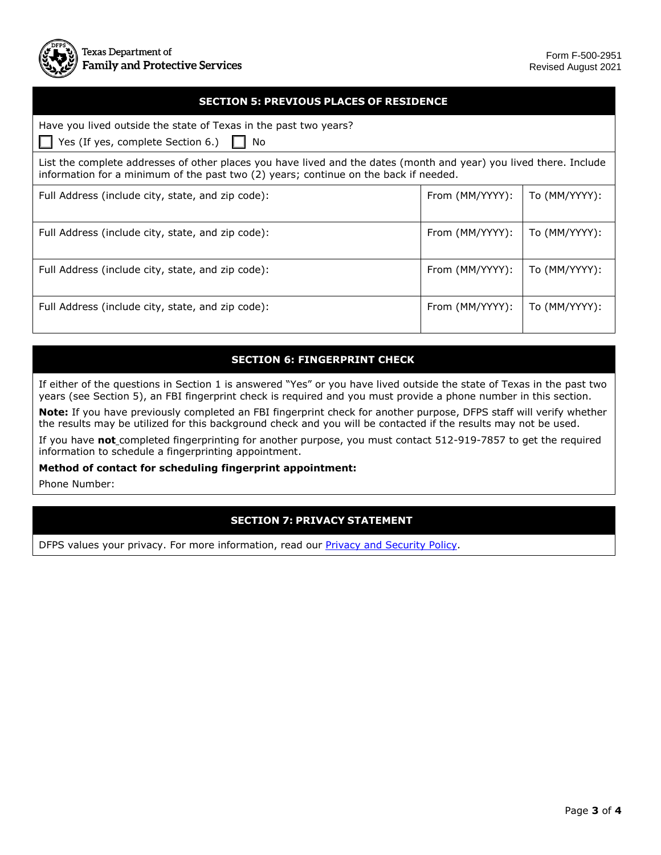#### **SECTION 5: PREVIOUS PLACES OF RESIDENCE**

| Have you lived outside the state of Texas in the past two years?<br>Yes (If yes, complete Section 6.)<br>No                                                                                                |                 |               |  |
|------------------------------------------------------------------------------------------------------------------------------------------------------------------------------------------------------------|-----------------|---------------|--|
| List the complete addresses of other places you have lived and the dates (month and year) you lived there. Include<br>information for a minimum of the past two (2) years; continue on the back if needed. |                 |               |  |
| Full Address (include city, state, and zip code):                                                                                                                                                          | From (MM/YYYY): | To (MM/YYYY): |  |
| Full Address (include city, state, and zip code):                                                                                                                                                          | From (MM/YYYY): | To (MM/YYYY): |  |
| Full Address (include city, state, and zip code):                                                                                                                                                          | From (MM/YYYY): | To (MM/YYYY): |  |
| Full Address (include city, state, and zip code):                                                                                                                                                          | From (MM/YYYY): | To (MM/YYYY): |  |

#### **SECTION 6: FINGERPRINT CHECK**

If either of the questions in Section 1 is answered "Yes" or you have lived outside the state of Texas in the past two years (see Section 5), an FBI fingerprint check is required and you must provide a phone number in this section.

**Note:** If you have previously completed an FBI fingerprint check for another purpose, DFPS staff will verify whether the results may be utilized for this background check and you will be contacted if the results may not be used.

If you have **not** completed fingerprinting for another purpose, you must contact 512-919-7857 to get the required information to schedule a fingerprinting appointment.

**Method of contact for scheduling fingerprint appointment:** 

Phone Number:

## **SECTION 7: PRIVACY STATEMENT**

DFPS values your privacy. For more information, read our **Privacy and Security Policy**.